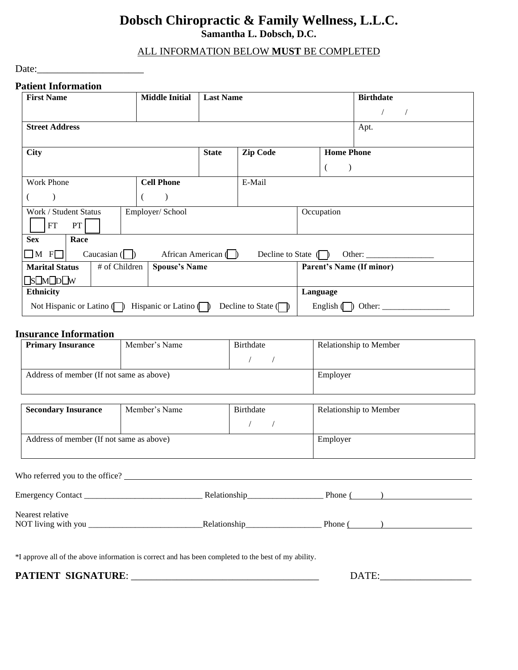### **Dobsch Chiropractic & Family Wellness, L.L.C. Samantha L. Dobsch, D.C.**

#### ALL INFORMATION BELOW **MUST** BE COMPLETED

Date:\_\_\_\_\_\_\_\_\_\_\_\_\_\_\_\_\_\_\_\_\_

#### **Patient Information**

| <b>First Name</b>                                                                                                                                            | <b>Middle Initial</b>     | <b>Last Name</b> |                                       |                                 | <b>Birthdate</b> |
|--------------------------------------------------------------------------------------------------------------------------------------------------------------|---------------------------|------------------|---------------------------------------|---------------------------------|------------------|
|                                                                                                                                                              |                           |                  |                                       |                                 |                  |
| <b>Street Address</b>                                                                                                                                        |                           |                  |                                       |                                 | Apt.             |
|                                                                                                                                                              |                           |                  |                                       |                                 |                  |
| <b>City</b>                                                                                                                                                  |                           | <b>State</b>     | <b>Zip Code</b>                       | <b>Home Phone</b>               |                  |
|                                                                                                                                                              |                           |                  |                                       |                                 |                  |
| <b>Work Phone</b>                                                                                                                                            | <b>Cell Phone</b>         |                  | E-Mail                                |                                 |                  |
|                                                                                                                                                              |                           |                  |                                       |                                 |                  |
| Work / Student Status<br>Employer/ School                                                                                                                    |                           |                  | Occupation                            |                                 |                  |
| FT<br>PT                                                                                                                                                     |                           |                  |                                       |                                 |                  |
| <b>Sex</b><br>Race                                                                                                                                           |                           |                  |                                       |                                 |                  |
| Caucasian $\begin{pmatrix} \phantom{-} \end{pmatrix}$<br>$\Box$ M F $\Box$<br>African American $\langle \rangle$<br>Decline to State $\Box$<br>Other: $\_\_$ |                           |                  |                                       |                                 |                  |
| # of Children<br><b>Marital Status</b>                                                                                                                       | <b>Spouse's Name</b>      |                  |                                       | <b>Parent's Name (If minor)</b> |                  |
| $\square$ s $\square$ M $\square$ p $\square$ W                                                                                                              |                           |                  |                                       |                                 |                  |
| <b>Ethnicity</b>                                                                                                                                             |                           |                  |                                       | Language                        |                  |
| Not Hispanic or Latino $\Box$                                                                                                                                | Hispanic or Latino $\Box$ |                  | Decline to State $\sqrt{\phantom{a}}$ | English $\sqrt{\phantom{a}}$    | Other:           |

#### **Insurance Information**

| <b>Primary Insurance</b>                 | Member's Name<br>Birthdate |  | Relationship to Member |
|------------------------------------------|----------------------------|--|------------------------|
|                                          |                            |  |                        |
| Address of member (If not same as above) |                            |  | Employer               |

| <b>Secondary Insurance</b>               | Member's Name | Birthdate | <b>Relationship to Member</b> |
|------------------------------------------|---------------|-----------|-------------------------------|
|                                          |               |           |                               |
| Address of member (If not same as above) |               |           | Employer                      |

| Who referred you to the office?                                                      |              |                                                          |
|--------------------------------------------------------------------------------------|--------------|----------------------------------------------------------|
| Emergency Contact<br>the contract of the contract of the contract of the contract of | Relationship | Phone $\left(\begin{array}{c} \hline \end{array}\right)$ |
| Nearest relative<br>NOT living with you                                              | Relationship | Phone (                                                  |

\*I approve all of the above information is correct and has been completed to the best of my ability.

**PATIENT SIGNATURE**: \_\_\_\_\_\_\_\_\_\_\_\_\_\_\_\_\_\_\_\_\_\_\_\_\_\_\_\_\_\_\_\_\_\_\_\_\_ DATE:\_\_\_\_\_\_\_\_\_\_\_\_\_\_\_\_\_\_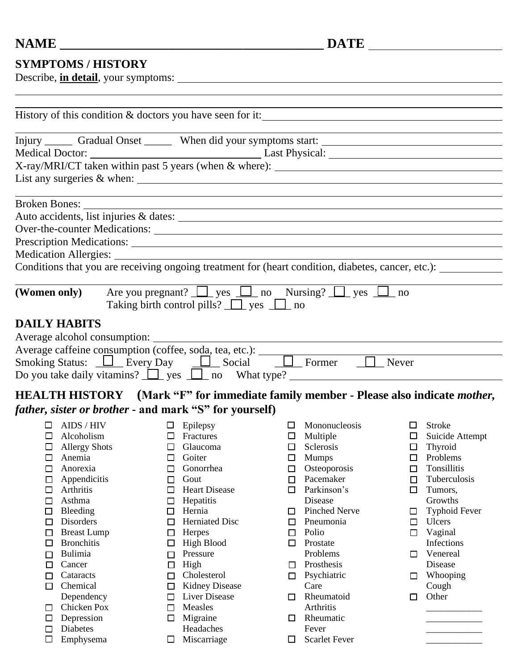## **SYMPTOMS / HISTORY**

Describe, **in detail**, your symptoms:

|                                                                                                                                                                                                                                              |                                                                                                                                                                                                                                                                                                                                 | Injury _______ Gradual Onset ________ When did your symptoms start: ________________________________<br>X-ray/MRI/CT taken within past 5 years (when & where): __________________________<br>List any surgeries $\&$ when: $\_\_\_\_\_\_\_\_\_\_$                                                                                                                                                                                  |                                                                              |                                                                                                                                                                                                                                                                                                                        |                                                |                                                                                                                                                                                                                                                   |
|----------------------------------------------------------------------------------------------------------------------------------------------------------------------------------------------------------------------------------------------|---------------------------------------------------------------------------------------------------------------------------------------------------------------------------------------------------------------------------------------------------------------------------------------------------------------------------------|------------------------------------------------------------------------------------------------------------------------------------------------------------------------------------------------------------------------------------------------------------------------------------------------------------------------------------------------------------------------------------------------------------------------------------|------------------------------------------------------------------------------|------------------------------------------------------------------------------------------------------------------------------------------------------------------------------------------------------------------------------------------------------------------------------------------------------------------------|------------------------------------------------|---------------------------------------------------------------------------------------------------------------------------------------------------------------------------------------------------------------------------------------------------|
|                                                                                                                                                                                                                                              | <b>Broken Bones:</b>                                                                                                                                                                                                                                                                                                            | <u> 1989 - Johann Stoff, deutscher Stoff, der Stoff, der Stoff, der Stoff, der Stoff, der Stoff, der Stoff, der S</u><br>Over-the-counter Medications:<br>Conditions that you are receiving ongoing treatment for (heart condition, diabetes, cancer, etc.):                                                                                                                                                                       |                                                                              |                                                                                                                                                                                                                                                                                                                        |                                                |                                                                                                                                                                                                                                                   |
| <b>DAILY HABITS</b>                                                                                                                                                                                                                          |                                                                                                                                                                                                                                                                                                                                 | (Women only) Are you pregnant? $\Box$ yes $\Box$ no Nursing? $\Box$ yes $\Box$ no<br>Taking birth control pills? $\Box$ yes $\Box$ no                                                                                                                                                                                                                                                                                              |                                                                              |                                                                                                                                                                                                                                                                                                                        |                                                |                                                                                                                                                                                                                                                   |
| Average alcohol consumption: _______<br>Average caffeine consumption (coffee, soda, tea, etc.):<br>Smoking Status: <u>D</u> Every Day <u>D</u> Social D Former D Never<br>Do you take daily vitamins? $\Box$ yes $\Box$ no What type? $\Box$ |                                                                                                                                                                                                                                                                                                                                 |                                                                                                                                                                                                                                                                                                                                                                                                                                    |                                                                              |                                                                                                                                                                                                                                                                                                                        |                                                |                                                                                                                                                                                                                                                   |
|                                                                                                                                                                                                                                              | <b>HEALTH HISTORY</b> (Mark "F" for immediate family member - Please also indicate <i>mother</i> ,<br><i>father, sister or brother</i> - and mark "S" for yourself)                                                                                                                                                             |                                                                                                                                                                                                                                                                                                                                                                                                                                    |                                                                              |                                                                                                                                                                                                                                                                                                                        |                                                |                                                                                                                                                                                                                                                   |
| $\Box$<br>◻<br>□<br>□<br>$\Box$<br>$\Box$<br>$\Box$<br>$\Box$<br>$\Box$<br>□<br>$\Box$<br>□<br>□<br>$\Box$<br>□<br>□                                                                                                                         | $\Box$ AIDS / HIV<br>Alcoholism<br>$\Box$ Allergy Shots<br>$\Box$ Anemia<br>$\Box$ Anorexia<br>Appendicitis<br>Arthritis<br>Asthma<br>Bleeding<br>Disorders<br><b>Breast Lump</b><br><b>Bronchitis</b><br>Bulimia<br>Cancer<br>Cataracts<br>Chemical<br>Dependency<br>Chicken Pox<br>Depression<br><b>Diabetes</b><br>Emphysema | $\Box$ Epilepsy<br>$\Box$ Fractures<br>$\Box$ Glaucoma<br>$\Box$ Goiter<br>□ Gonorrhea<br>Gout<br>$\Box$<br><b>Heart Disease</b><br>□<br>Hepatitis<br>□<br>Hernia<br>$\Box$<br><b>Herniated Disc</b><br>$\Box$<br>Herpes<br>$\Box$<br>High Blood<br>□<br>Pressure<br>П<br>High<br>□<br>Cholesterol<br>$\Box$<br><b>Kidney Disease</b><br>□<br>Liver Disease<br>□<br>Measles<br>□<br>Migraine<br>□<br>Headaches<br>Miscarriage<br>ப | $\Box$<br>□<br>$\Box$<br>□<br>□<br>$\Box$<br>□<br>$\Box$<br>□<br>□<br>□<br>□ | $\Box$ Mononucleosis<br>$\Box$ Multiple<br>Sclerosis<br>$\Box$ Mumps<br>$\Box$ Osteoporosis<br>Pacemaker<br>Parkinson's<br>Disease<br><b>Pinched Nerve</b><br>Pneumonia<br>Polio<br>Prostate<br>Problems<br>Prosthesis<br>Psychiatric<br>Care<br>Rheumatoid<br>Arthritis<br>Rheumatic<br>Fever<br><b>Scarlet Fever</b> | $\Box$<br>□<br>□<br>□<br>□<br>□<br>□<br>ப<br>□ | Stroke<br>$\Box$ Suicide Attempt<br>$\Box$ Thyroid<br>$\Box$ Problems<br>$\Box$ Tonsillitis<br>Tuberculosis<br>Tumors,<br>Growths<br><b>Typhoid Fever</b><br>Ulcers<br>Vaginal<br>Infections<br>Venereal<br>Disease<br>Whooping<br>Cough<br>Other |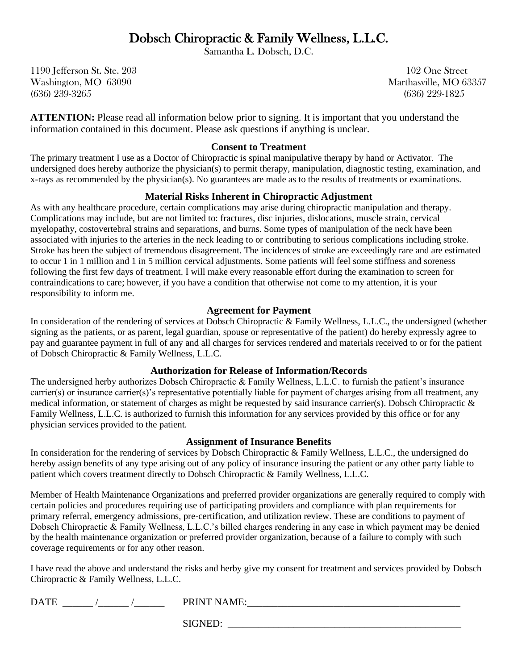# Dobsch Chiropractic & Family Wellness, L.L.C. Samantha L. Dobsch, D.C.

1190 Jefferson St. Ste. 203 102 One Street Washington, MO 63090 Marthasville, MO 63357 (636) 239-3265 (636) 229-1825

**ATTENTION:** Please read all information below prior to signing. It is important that you understand the information contained in this document. Please ask questions if anything is unclear.

#### **Consent to Treatment**

The primary treatment I use as a Doctor of Chiropractic is spinal manipulative therapy by hand or Activator. The undersigned does hereby authorize the physician(s) to permit therapy, manipulation, diagnostic testing, examination, and x-rays as recommended by the physician(s). No guarantees are made as to the results of treatments or examinations.

#### **Material Risks Inherent in Chiropractic Adjustment**

As with any healthcare procedure, certain complications may arise during chiropractic manipulation and therapy. Complications may include, but are not limited to: fractures, disc injuries, dislocations, muscle strain, cervical myelopathy, costovertebral strains and separations, and burns. Some types of manipulation of the neck have been associated with injuries to the arteries in the neck leading to or contributing to serious complications including stroke. Stroke has been the subject of tremendous disagreement. The incidences of stroke are exceedingly rare and are estimated to occur 1 in 1 million and 1 in 5 million cervical adjustments. Some patients will feel some stiffness and soreness following the first few days of treatment. I will make every reasonable effort during the examination to screen for contraindications to care; however, if you have a condition that otherwise not come to my attention, it is your responsibility to inform me.

#### **Agreement for Payment**

In consideration of the rendering of services at Dobsch Chiropractic & Family Wellness, L.L.C., the undersigned (whether signing as the patients, or as parent, legal guardian, spouse or representative of the patient) do hereby expressly agree to pay and guarantee payment in full of any and all charges for services rendered and materials received to or for the patient of Dobsch Chiropractic & Family Wellness, L.L.C.

#### **Authorization for Release of Information/Records**

The undersigned herby authorizes Dobsch Chiropractic & Family Wellness, L.L.C. to furnish the patient's insurance carrier(s) or insurance carrier(s)'s representative potentially liable for payment of charges arising from all treatment, any medical information, or statement of charges as might be requested by said insurance carrier(s). Dobsch Chiropractic & Family Wellness, L.L.C. is authorized to furnish this information for any services provided by this office or for any physician services provided to the patient.

#### **Assignment of Insurance Benefits**

In consideration for the rendering of services by Dobsch Chiropractic & Family Wellness, L.L.C., the undersigned do hereby assign benefits of any type arising out of any policy of insurance insuring the patient or any other party liable to patient which covers treatment directly to Dobsch Chiropractic & Family Wellness, L.L.C.

Member of Health Maintenance Organizations and preferred provider organizations are generally required to comply with certain policies and procedures requiring use of participating providers and compliance with plan requirements for primary referral, emergency admissions, pre-certification, and utilization review. These are conditions to payment of Dobsch Chiropractic & Family Wellness, L.L.C.'s billed charges rendering in any case in which payment may be denied by the health maintenance organization or preferred provider organization, because of a failure to comply with such coverage requirements or for any other reason.

I have read the above and understand the risks and herby give my consent for treatment and services provided by Dobsch Chiropractic & Family Wellness, L.L.C.

|  | <b>DATE</b> | $\sqrt{2}$<br>⋀<br>N<br>. . |
|--|-------------|-----------------------------|
|--|-------------|-----------------------------|

SIGNED: \_\_\_\_\_\_\_\_\_\_\_\_\_\_\_\_\_\_\_\_\_\_\_\_\_\_\_\_\_\_\_\_\_\_\_\_\_\_\_\_\_\_\_\_\_\_